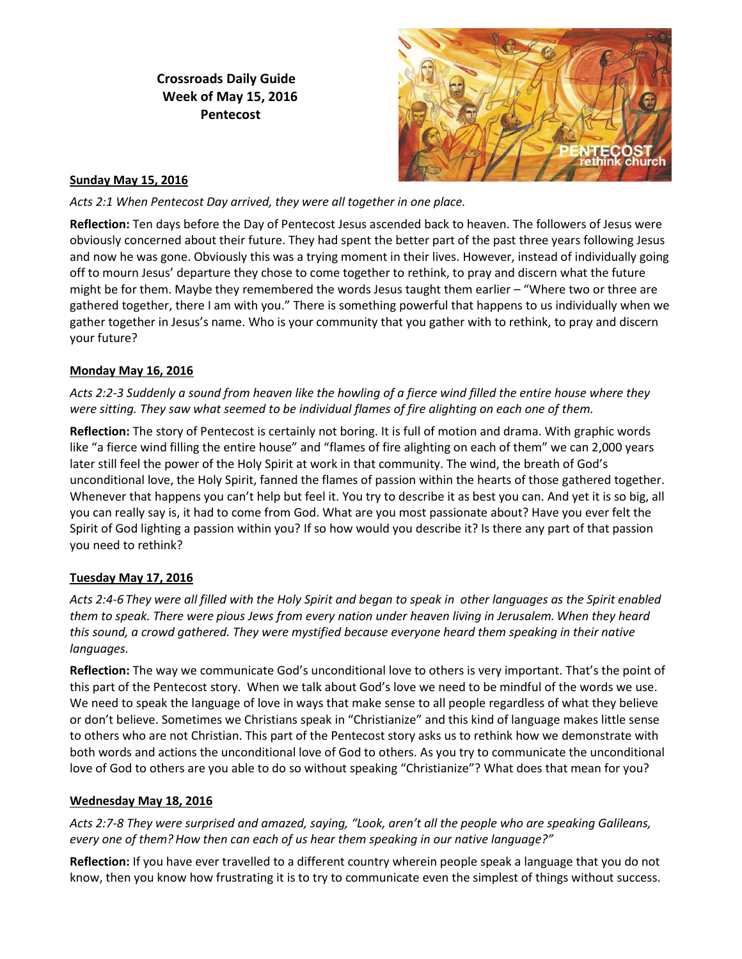# **Crossroads Daily Guide Week of May 15, 2016 Pentecost**



### **Sunday May 15, 2016**

*Acts 2:1 When Pentecost Day arrived, they were all together in one place.* 

**Reflection:** Ten days before the Day of Pentecost Jesus ascended back to heaven. The followers of Jesus were obviously concerned about their future. They had spent the better part of the past three years following Jesus and now he was gone. Obviously this was a trying moment in their lives. However, instead of individually going off to mourn Jesus' departure they chose to come together to rethink, to pray and discern what the future might be for them. Maybe they remembered the words Jesus taught them earlier – "Where two or three are gathered together, there I am with you." There is something powerful that happens to us individually when we gather together in Jesus's name. Who is your community that you gather with to rethink, to pray and discern your future?

### **Monday May 16, 2016**

*Acts 2:2-3 Suddenly a sound from heaven like the howling of a fierce wind filled the entire house where they were sitting. They saw what seemed to be individual flames of fire alighting on each one of them.*

**Reflection:** The story of Pentecost is certainly not boring. It is full of motion and drama. With graphic words like "a fierce wind filling the entire house" and "flames of fire alighting on each of them" we can 2,000 years later still feel the power of the Holy Spirit at work in that community. The wind, the breath of God's unconditional love, the Holy Spirit, fanned the flames of passion within the hearts of those gathered together. Whenever that happens you can't help but feel it. You try to describe it as best you can. And yet it is so big, all you can really say is, it had to come from God. What are you most passionate about? Have you ever felt the Spirit of God lighting a passion within you? If so how would you describe it? Is there any part of that passion you need to rethink?

### **Tuesday May 17, 2016**

*Acts 2:4-6 They were all filled with the Holy Spirit and began to speak in other languages as the Spirit enabled them to speak. There were pious Jews from every nation under heaven living in Jerusalem. When they heard this sound, a crowd gathered. They were mystified because everyone heard them speaking in their native languages.*

**Reflection:** The way we communicate God's unconditional love to others is very important. That's the point of this part of the Pentecost story. When we talk about God's love we need to be mindful of the words we use. We need to speak the language of love in ways that make sense to all people regardless of what they believe or don't believe. Sometimes we Christians speak in "Christianize" and this kind of language makes little sense to others who are not Christian. This part of the Pentecost story asks us to rethink how we demonstrate with both words and actions the unconditional love of God to others. As you try to communicate the unconditional love of God to others are you able to do so without speaking "Christianize"? What does that mean for you?

### **Wednesday May 18, 2016**

*Acts 2:7-8 They were surprised and amazed, saying, "Look, aren't all the people who are speaking Galileans, every one of them?How then can each of us hear them speaking in our native language?"*

**Reflection:** If you have ever travelled to a different country wherein people speak a language that you do not know, then you know how frustrating it is to try to communicate even the simplest of things without success.